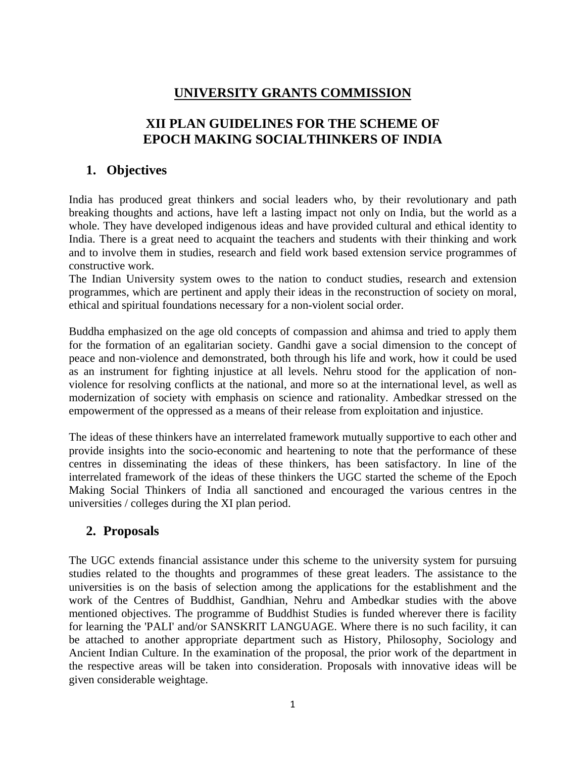# **UNIVERSITY GRANTS COMMISSION**

# **XII PLAN GUIDELINES FOR THE SCHEME OF EPOCH MAKING SOCIALTHINKERS OF INDIA**

# **1. Objectives**

India has produced great thinkers and social leaders who, by their revolutionary and path breaking thoughts and actions, have left a lasting impact not only on India, but the world as a whole. They have developed indigenous ideas and have provided cultural and ethical identity to India. There is a great need to acquaint the teachers and students with their thinking and work and to involve them in studies, research and field work based extension service programmes of constructive work.

The Indian University system owes to the nation to conduct studies, research and extension programmes, which are pertinent and apply their ideas in the reconstruction of society on moral, ethical and spiritual foundations necessary for a non-violent social order.

Buddha emphasized on the age old concepts of compassion and ahimsa and tried to apply them for the formation of an egalitarian society. Gandhi gave a social dimension to the concept of peace and non-violence and demonstrated, both through his life and work, how it could be used as an instrument for fighting injustice at all levels. Nehru stood for the application of nonviolence for resolving conflicts at the national, and more so at the international level, as well as modernization of society with emphasis on science and rationality. Ambedkar stressed on the empowerment of the oppressed as a means of their release from exploitation and injustice.

The ideas of these thinkers have an interrelated framework mutually supportive to each other and provide insights into the socio-economic and heartening to note that the performance of these centres in disseminating the ideas of these thinkers, has been satisfactory. In line of the interrelated framework of the ideas of these thinkers the UGC started the scheme of the Epoch Making Social Thinkers of India all sanctioned and encouraged the various centres in the universities / colleges during the XI plan period.

## **2. Proposals**

The UGC extends financial assistance under this scheme to the university system for pursuing studies related to the thoughts and programmes of these great leaders. The assistance to the universities is on the basis of selection among the applications for the establishment and the work of the Centres of Buddhist, Gandhian, Nehru and Ambedkar studies with the above mentioned objectives. The programme of Buddhist Studies is funded wherever there is facility for learning the 'PALI' and/or SANSKRIT LANGUAGE. Where there is no such facility, it can be attached to another appropriate department such as History, Philosophy, Sociology and Ancient Indian Culture. In the examination of the proposal, the prior work of the department in the respective areas will be taken into consideration. Proposals with innovative ideas will be given considerable weightage.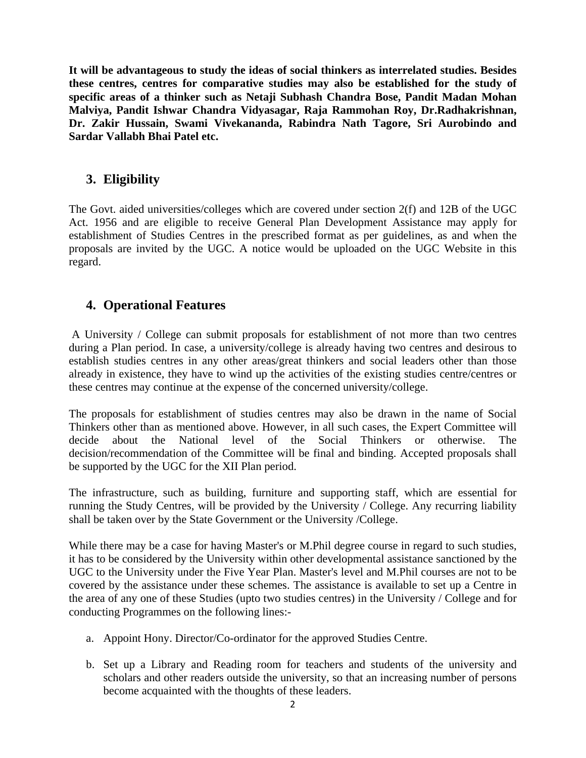**It will be advantageous to study the ideas of social thinkers as interrelated studies. Besides these centres, centres for comparative studies may also be established for the study of specific areas of a thinker such as Netaji Subhash Chandra Bose, Pandit Madan Mohan Malviya, Pandit Ishwar Chandra Vidyasagar, Raja Rammohan Roy, Dr.Radhakrishnan, Dr. Zakir Hussain, Swami Vivekananda, Rabindra Nath Tagore, Sri Aurobindo and Sardar Vallabh Bhai Patel etc.** 

### **3. Eligibility**

The Govt. aided universities/colleges which are covered under section 2(f) and 12B of the UGC Act. 1956 and are eligible to receive General Plan Development Assistance may apply for establishment of Studies Centres in the prescribed format as per guidelines, as and when the proposals are invited by the UGC. A notice would be uploaded on the UGC Website in this regard.

### **4. Operational Features**

 A University / College can submit proposals for establishment of not more than two centres during a Plan period. In case, a university/college is already having two centres and desirous to establish studies centres in any other areas/great thinkers and social leaders other than those already in existence, they have to wind up the activities of the existing studies centre/centres or these centres may continue at the expense of the concerned university/college.

The proposals for establishment of studies centres may also be drawn in the name of Social Thinkers other than as mentioned above. However, in all such cases, the Expert Committee will decide about the National level of the Social Thinkers or otherwise. The decision/recommendation of the Committee will be final and binding. Accepted proposals shall be supported by the UGC for the XII Plan period.

The infrastructure, such as building, furniture and supporting staff, which are essential for running the Study Centres, will be provided by the University / College. Any recurring liability shall be taken over by the State Government or the University /College.

While there may be a case for having Master's or M.Phil degree course in regard to such studies, it has to be considered by the University within other developmental assistance sanctioned by the UGC to the University under the Five Year Plan. Master's level and M.Phil courses are not to be covered by the assistance under these schemes. The assistance is available to set up a Centre in the area of any one of these Studies (upto two studies centres) in the University / College and for conducting Programmes on the following lines:-

- a. Appoint Hony. Director/Co-ordinator for the approved Studies Centre.
- b. Set up a Library and Reading room for teachers and students of the university and scholars and other readers outside the university, so that an increasing number of persons become acquainted with the thoughts of these leaders.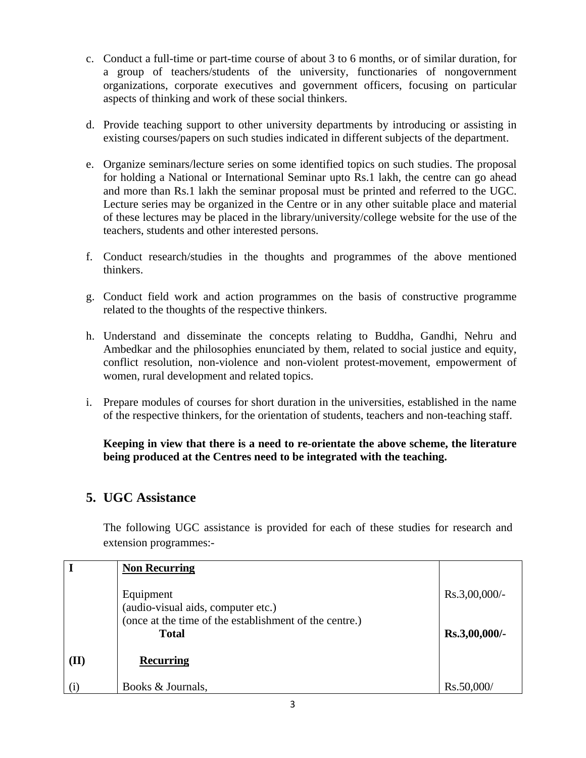- c. Conduct a full-time or part-time course of about 3 to 6 months, or of similar duration, for a group of teachers/students of the university, functionaries of nongovernment organizations, corporate executives and government officers, focusing on particular aspects of thinking and work of these social thinkers.
- d. Provide teaching support to other university departments by introducing or assisting in existing courses/papers on such studies indicated in different subjects of the department.
- e. Organize seminars/lecture series on some identified topics on such studies. The proposal for holding a National or International Seminar upto Rs.1 lakh, the centre can go ahead and more than Rs.1 lakh the seminar proposal must be printed and referred to the UGC. Lecture series may be organized in the Centre or in any other suitable place and material of these lectures may be placed in the library/university/college website for the use of the teachers, students and other interested persons.
- f. Conduct research/studies in the thoughts and programmes of the above mentioned thinkers.
- g. Conduct field work and action programmes on the basis of constructive programme related to the thoughts of the respective thinkers.
- h. Understand and disseminate the concepts relating to Buddha, Gandhi, Nehru and Ambedkar and the philosophies enunciated by them, related to social justice and equity, conflict resolution, non-violence and non-violent protest-movement, empowerment of women, rural development and related topics.
- i. Prepare modules of courses for short duration in the universities, established in the name of the respective thinkers, for the orientation of students, teachers and non-teaching staff.

#### **Keeping in view that there is a need to re-orientate the above scheme, the literature being produced at the Centres need to be integrated with the teaching.**

## **5. UGC Assistance**

The following UGC assistance is provided for each of these studies for research and extension programmes:-

|      | <b>Non Recurring</b>                                   |                  |
|------|--------------------------------------------------------|------------------|
|      |                                                        |                  |
|      | Equipment                                              | $Rs.3,00,000/$ - |
|      | (audio-visual aids, computer etc.)                     |                  |
|      | (once at the time of the establishment of the centre.) |                  |
|      | <b>Total</b>                                           | Rs.3,00,000/-    |
|      |                                                        |                  |
| (II) | <b>Recurring</b>                                       |                  |
|      |                                                        |                  |
|      | Books & Journals,                                      | Rs.50,000/       |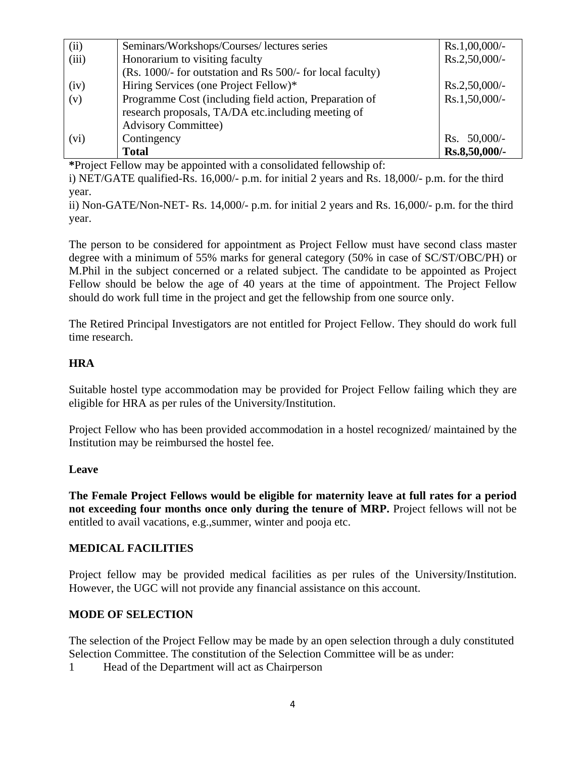| (ii)  | Seminars/Workshops/Courses/ lectures series                | $Rs.1,00,000/$ - |
|-------|------------------------------------------------------------|------------------|
| (iii) | Honorarium to visiting faculty                             | Rs.2,50,000/-    |
|       | (Rs. 1000/- for outstation and Rs 500/- for local faculty) |                  |
| (iv)  | Hiring Services (one Project Fellow)*                      | $Rs.2,50,000/$ - |
| (v)   | Programme Cost (including field action, Preparation of     | Rs.1,50,000/-    |
|       | research proposals, TA/DA etc.including meeting of         |                  |
|       | <b>Advisory Committee)</b>                                 |                  |
| (vi)  | Contingency                                                | Rs. $50,000/-$   |
|       | <b>Total</b>                                               | Rs.8,50,000/-    |

**\***Project Fellow may be appointed with a consolidated fellowship of:

i) NET/GATE qualified-Rs. 16,000/- p.m. for initial 2 years and Rs. 18,000/- p.m. for the third year.

ii) Non-GATE/Non-NET- Rs. 14,000/- p.m. for initial 2 years and Rs. 16,000/- p.m. for the third year.

The person to be considered for appointment as Project Fellow must have second class master degree with a minimum of 55% marks for general category (50% in case of SC/ST/OBC/PH) or M.Phil in the subject concerned or a related subject. The candidate to be appointed as Project Fellow should be below the age of 40 years at the time of appointment. The Project Fellow should do work full time in the project and get the fellowship from one source only.

The Retired Principal Investigators are not entitled for Project Fellow. They should do work full time research.

#### **HRA**

Suitable hostel type accommodation may be provided for Project Fellow failing which they are eligible for HRA as per rules of the University/Institution.

Project Fellow who has been provided accommodation in a hostel recognized/ maintained by the Institution may be reimbursed the hostel fee.

#### **Leave**

**The Female Project Fellows would be eligible for maternity leave at full rates for a period not exceeding four months once only during the tenure of MRP.** Project fellows will not be entitled to avail vacations, e.g.,summer, winter and pooja etc.

#### **MEDICAL FACILITIES**

Project fellow may be provided medical facilities as per rules of the University/Institution. However, the UGC will not provide any financial assistance on this account.

#### **MODE OF SELECTION**

The selection of the Project Fellow may be made by an open selection through a duly constituted Selection Committee. The constitution of the Selection Committee will be as under:

1 Head of the Department will act as Chairperson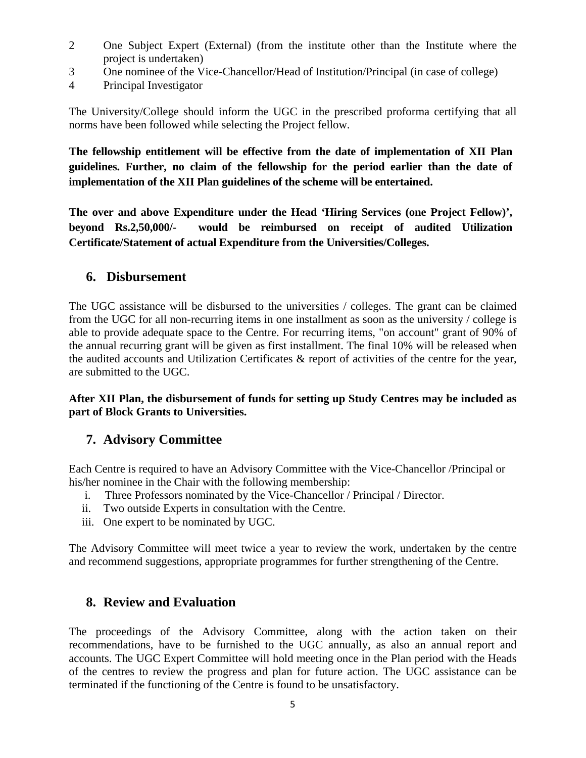- 2 One Subject Expert (External) (from the institute other than the Institute where the project is undertaken)
- 3 One nominee of the Vice-Chancellor/Head of Institution/Principal (in case of college)
- 4 Principal Investigator

The University/College should inform the UGC in the prescribed proforma certifying that all norms have been followed while selecting the Project fellow.

**The fellowship entitlement will be effective from the date of implementation of XII Plan guidelines. Further, no claim of the fellowship for the period earlier than the date of implementation of the XII Plan guidelines of the scheme will be entertained.** 

**The over and above Expenditure under the Head 'Hiring Services (one Project Fellow)', beyond Rs.2,50,000/- would be reimbursed on receipt of audited Utilization Certificate/Statement of actual Expenditure from the Universities/Colleges.**

#### **6. Disbursement**

The UGC assistance will be disbursed to the universities / colleges. The grant can be claimed from the UGC for all non-recurring items in one installment as soon as the university / college is able to provide adequate space to the Centre. For recurring items, "on account" grant of 90% of the annual recurring grant will be given as first installment. The final 10% will be released when the audited accounts and Utilization Certificates & report of activities of the centre for the year, are submitted to the UGC.

**After XII Plan, the disbursement of funds for setting up Study Centres may be included as part of Block Grants to Universities.** 

### **7. Advisory Committee**

Each Centre is required to have an Advisory Committee with the Vice-Chancellor /Principal or his/her nominee in the Chair with the following membership:

- i. Three Professors nominated by the Vice-Chancellor / Principal / Director.
- ii. Two outside Experts in consultation with the Centre.
- iii. One expert to be nominated by UGC.

The Advisory Committee will meet twice a year to review the work, undertaken by the centre and recommend suggestions, appropriate programmes for further strengthening of the Centre.

### **8. Review and Evaluation**

The proceedings of the Advisory Committee, along with the action taken on their recommendations, have to be furnished to the UGC annually, as also an annual report and accounts. The UGC Expert Committee will hold meeting once in the Plan period with the Heads of the centres to review the progress and plan for future action. The UGC assistance can be terminated if the functioning of the Centre is found to be unsatisfactory.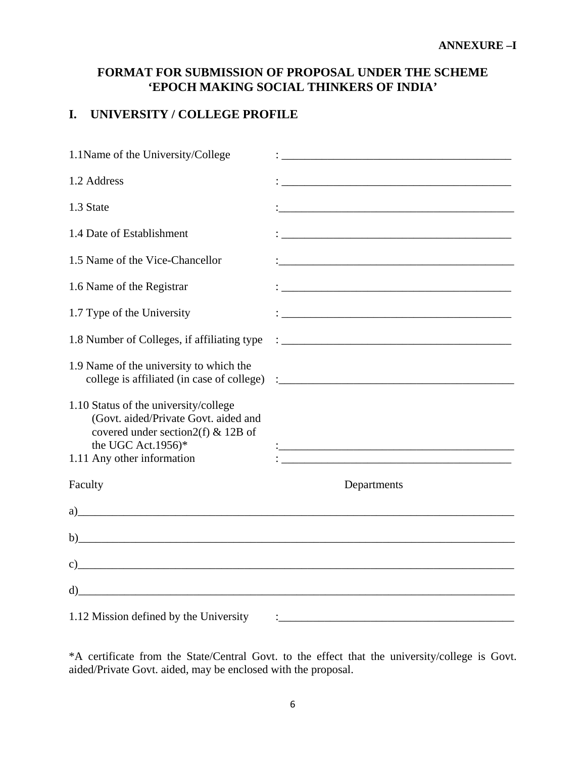### **FORMAT FOR SUBMISSION OF PROPOSAL UNDER THE SCHEME 'EPOCH MAKING SOCIAL THINKERS OF INDIA'**

#### **I. UNIVERSITY / COLLEGE PROFILE**

| 1.1 Name of the University/College                                                                                                                                                                                           |                                                                                                                       |
|------------------------------------------------------------------------------------------------------------------------------------------------------------------------------------------------------------------------------|-----------------------------------------------------------------------------------------------------------------------|
| 1.2 Address                                                                                                                                                                                                                  | <u> 1989 - Johann Barbara, margaret eta idazlearia (h. 1989).</u>                                                     |
| 1.3 State                                                                                                                                                                                                                    |                                                                                                                       |
| 1.4 Date of Establishment                                                                                                                                                                                                    |                                                                                                                       |
| 1.5 Name of the Vice-Chancellor                                                                                                                                                                                              |                                                                                                                       |
| 1.6 Name of the Registrar                                                                                                                                                                                                    |                                                                                                                       |
| 1.7 Type of the University                                                                                                                                                                                                   |                                                                                                                       |
| 1.8 Number of Colleges, if affiliating type                                                                                                                                                                                  |                                                                                                                       |
| 1.9 Name of the university to which the                                                                                                                                                                                      |                                                                                                                       |
| 1.10 Status of the university/college<br>(Govt. aided/Private Govt. aided and<br>covered under section $2(f)$ & 12B of<br>the UGC Act.1956)*<br>1.11 Any other information                                                   | <u> 1989 - Johann Barbara, markazi bashkar mashrida ma'lumot olib tashkalarda olib tashkalarda olib tashkalarda </u>  |
| Faculty                                                                                                                                                                                                                      | Departments                                                                                                           |
| $a)$ and $a$ and $b$ and $c$ and $d$ and $b$ and $b$ and $b$ and $b$ and $b$ and $b$ and $b$ and $b$ and $b$ and $b$ and $b$ and $b$ and $b$ and $b$ and $b$ and $b$ and $b$ and $b$ and $b$ and $b$ and $b$ and $b$ and $b$ |                                                                                                                       |
|                                                                                                                                                                                                                              |                                                                                                                       |
| $c)$ and $c$ and $c$ and $c$ and $c$ and $c$ and $c$ and $c$ and $c$ and $c$ and $c$ and $c$ and $c$ and $c$ and $c$ and $c$ and $c$ and $c$ and $c$ and $c$ and $c$ and $c$ and $c$ and $c$ and $c$ and $c$ and $c$ and $c$ |                                                                                                                       |
| $\mathbf{d}$                                                                                                                                                                                                                 |                                                                                                                       |
| 1.12 Mission defined by the University                                                                                                                                                                                       | <u> 1989 - Johann John Stein, markin film yn y breninnas y breninnas y breninnas y breninnas y breninnas y brenin</u> |

\*A certificate from the State/Central Govt. to the effect that the university/college is Govt. aided/Private Govt. aided, may be enclosed with the proposal.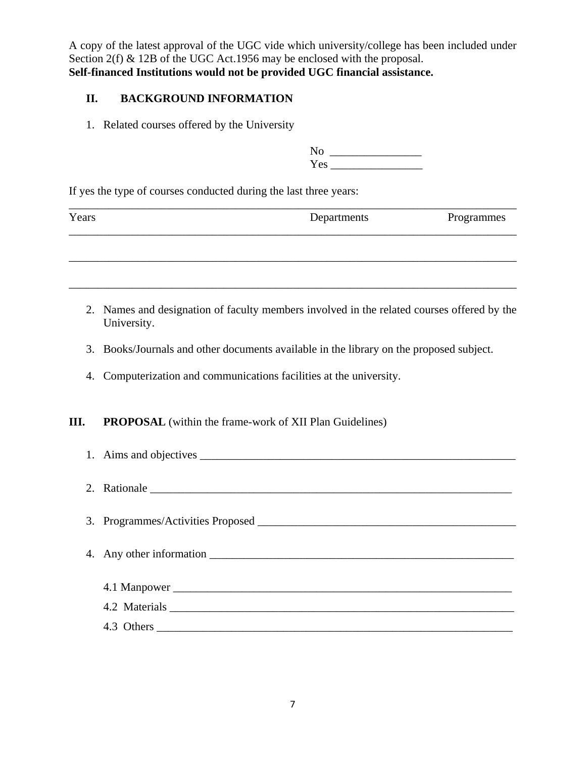A copy of the latest approval of the UGC vide which university/college has been included under Section 2(f) & 12B of the UGC Act.1956 may be enclosed with the proposal. **Self-financed Institutions would not be provided UGC financial assistance.** 

#### **II. BACKGROUND INFORMATION**

1. Related courses offered by the University

| No  |  |
|-----|--|
| Yes |  |

If yes the type of courses conducted during the last three years:

| Years | Departments | Programmes |
|-------|-------------|------------|
|       |             |            |

\_\_\_\_\_\_\_\_\_\_\_\_\_\_\_\_\_\_\_\_\_\_\_\_\_\_\_\_\_\_\_\_\_\_\_\_\_\_\_\_\_\_\_\_\_\_\_\_\_\_\_\_\_\_\_\_\_\_\_\_\_\_\_\_\_\_\_\_\_\_\_\_\_\_\_\_\_\_

- 2. Names and designation of faculty members involved in the related courses offered by the University.
- 3. Books/Journals and other documents available in the library on the proposed subject.
- 4. Computerization and communications facilities at the university.

#### **III.** PROPOSAL (within the frame-work of XII Plan Guidelines)

| 1. Aims and objectives |
|------------------------|
| 2. Rationale           |
|                        |
|                        |
|                        |
|                        |
| 4.3 Others             |
|                        |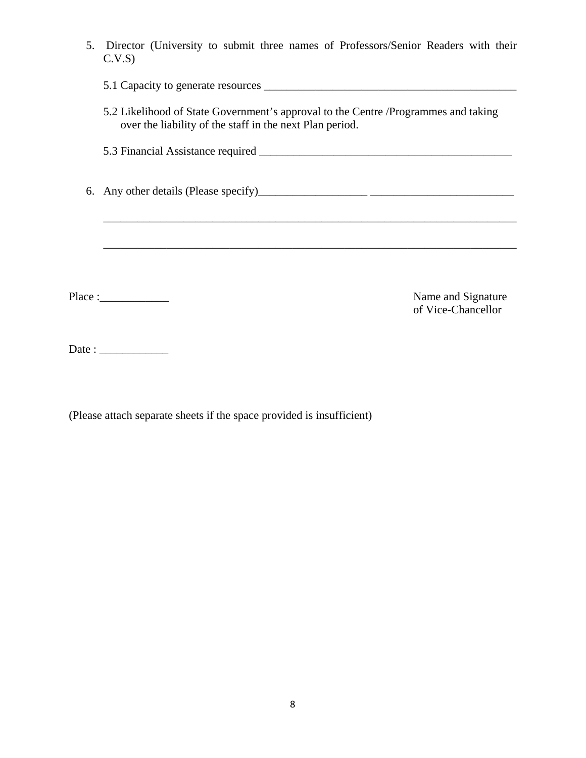| 5. | Director (University to submit three names of Professors/Senior Readers with their<br>C.V.S                                                     |
|----|-------------------------------------------------------------------------------------------------------------------------------------------------|
|    |                                                                                                                                                 |
|    | 5.2 Likelihood of State Government's approval to the Centre / Programmes and taking<br>over the liability of the staff in the next Plan period. |
|    |                                                                                                                                                 |
|    |                                                                                                                                                 |
|    |                                                                                                                                                 |
|    | Place :<br>Name and Signature<br>of Vice-Chancellor                                                                                             |
|    | Date : $\frac{1}{\sqrt{1-\frac{1}{2}} \cdot \frac{1}{2}}$                                                                                       |

(Please attach separate sheets if the space provided is insufficient)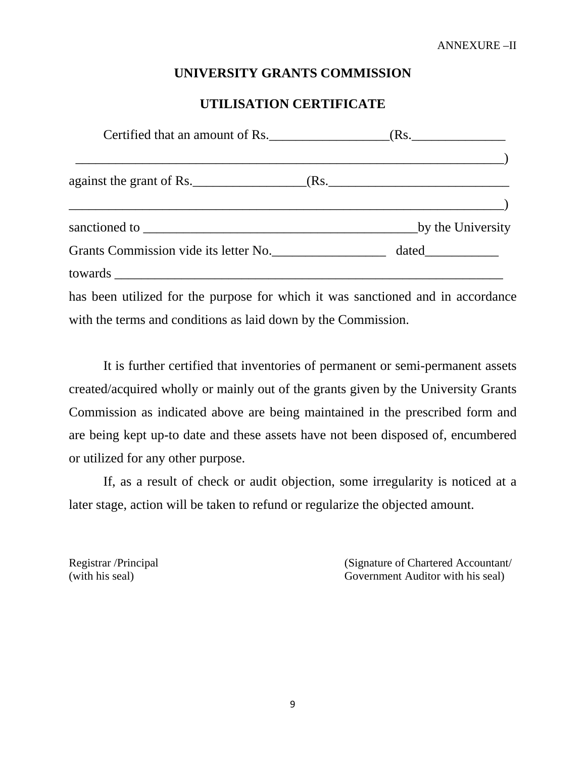### **UNIVERSITY GRANTS COMMISSION**

# **UTILISATION CERTIFICATE**

|                                                                                 | $\overline{\phantom{a}}$ and $\overline{\phantom{a}}$ and $\overline{\phantom{a}}$ and $\overline{\phantom{a}}$ |
|---------------------------------------------------------------------------------|-----------------------------------------------------------------------------------------------------------------|
|                                                                                 |                                                                                                                 |
|                                                                                 |                                                                                                                 |
| has been utilized for the purpose for which it was sanctioned and in accordance |                                                                                                                 |
| with the terms and conditions as laid down by the Commission.                   |                                                                                                                 |

It is further certified that inventories of permanent or semi-permanent assets created/acquired wholly or mainly out of the grants given by the University Grants Commission as indicated above are being maintained in the prescribed form and are being kept up-to date and these assets have not been disposed of, encumbered or utilized for any other purpose.

If, as a result of check or audit objection, some irregularity is noticed at a later stage, action will be taken to refund or regularize the objected amount.

Registrar /Principal (Signature of Chartered Accountant/ (with his seal) Government Auditor with his seal)